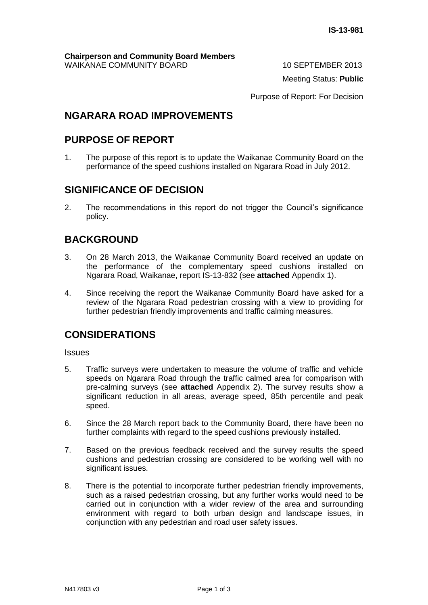Meeting Status: **Public**

Purpose of Report: For Decision

### **NGARARA ROAD IMPROVEMENTS**

### **PURPOSE OF REPORT**

1. The purpose of this report is to update the Waikanae Community Board on the performance of the speed cushions installed on Ngarara Road in July 2012.

### **SIGNIFICANCE OF DECISION**

2. The recommendations in this report do not trigger the Council's significance policy.

# **BACKGROUND**

- 3. On 28 March 2013, the Waikanae Community Board received an update on the performance of the complementary speed cushions installed on Ngarara Road, Waikanae, report IS-13-832 (see **attached** Appendix 1).
- 4. Since receiving the report the Waikanae Community Board have asked for a review of the Ngarara Road pedestrian crossing with a view to providing for further pedestrian friendly improvements and traffic calming measures.

## **CONSIDERATIONS**

Issues

- 5. Traffic surveys were undertaken to measure the volume of traffic and vehicle speeds on Ngarara Road through the traffic calmed area for comparison with pre-calming surveys (see **attached** Appendix 2). The survey results show a significant reduction in all areas, average speed, 85th percentile and peak speed.
- 6. Since the 28 March report back to the Community Board, there have been no further complaints with regard to the speed cushions previously installed.
- 7. Based on the previous feedback received and the survey results the speed cushions and pedestrian crossing are considered to be working well with no significant issues.
- 8. There is the potential to incorporate further pedestrian friendly improvements, such as a raised pedestrian crossing, but any further works would need to be carried out in conjunction with a wider review of the area and surrounding environment with regard to both urban design and landscape issues, in conjunction with any pedestrian and road user safety issues.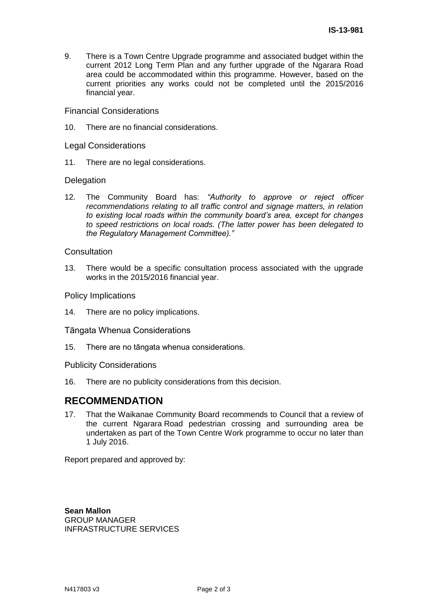9. There is a Town Centre Upgrade programme and associated budget within the current 2012 Long Term Plan and any further upgrade of the Ngarara Road area could be accommodated within this programme. However, based on the current priorities any works could not be completed until the 2015/2016 financial year.

Financial Considerations

10. There are no financial considerations.

Legal Considerations

11. There are no legal considerations.

#### **Delegation**

12. The Community Board has: *"Authority to approve or reject officer recommendations relating to all traffic control and signage matters, in relation to existing local roads within the community board's area, except for changes to speed restrictions on local roads. (The latter power has been delegated to the Regulatory Management Committee)."*

#### **Consultation**

13. There would be a specific consultation process associated with the upgrade works in the 2015/2016 financial year.

Policy Implications

14. There are no policy implications.

Tāngata Whenua Considerations

15. There are no tāngata whenua considerations.

Publicity Considerations

16. There are no publicity considerations from this decision.

#### **RECOMMENDATION**

17. That the Waikanae Community Board recommends to Council that a review of the current Ngarara Road pedestrian crossing and surrounding area be undertaken as part of the Town Centre Work programme to occur no later than 1 July 2016.

Report prepared and approved by:

**Sean Mallon** GROUP MANAGER INFRASTRUCTURE SERVICES